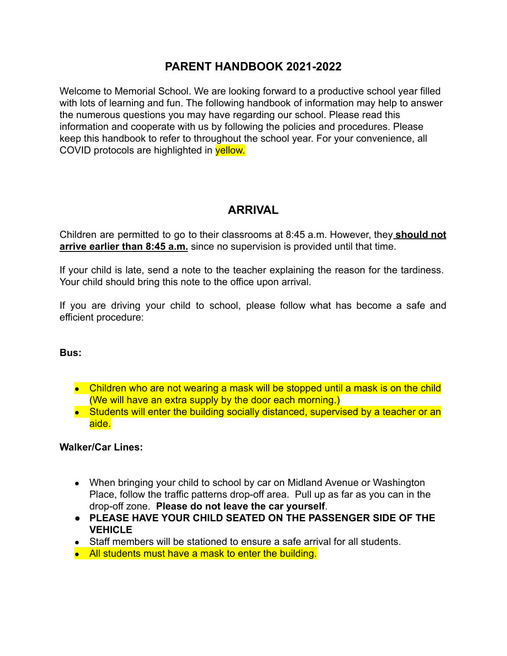### **PARENT HANDBOOK 2021-2022**

Welcome to Memorial School. We are looking forward to a productive school year filled with lots of learning and fun. The following handbook of information may help to answer the numerous questions you may have regarding our school. Please read this information and cooperate with us by following the policies and procedures. Please keep this handbook to refer to throughout the school year. For your convenience, all COVID protocols are highlighted in yellow.

## **ARRIVAL**

Children are permitted to go to their classrooms at 8:45 a.m. However, they **should not arrive earlier than 8:45 a.m.** since no supervision is provided until that time.

If your child is late, send a note to the teacher explaining the reason for the tardiness. Your child should bring this note to the office upon arrival.

If you are driving your child to school, please follow what has become a safe and efficient procedure:

#### **Bus:**

- Children who are not wearing a mask will be stopped until a mask is on the child (We will have an extra supply by the door each morning.)
- Students will enter the building socially distanced, supervised by a teacher or an aide.

#### **Walker/Car Lines:**

- When bringing your child to school by car on Midland Avenue or Washington Place, follow the traffic patterns drop-off area. Pull up as far as you can in the drop-off zone. **Please do not leave the car yourself**.
- **● PLEASE HAVE YOUR CHILD SEATED ON THE PASSENGER SIDE OF THE VEHICLE**
- Staff members will be stationed to ensure a safe arrival for all students.
- All students must have a mask to enter the building.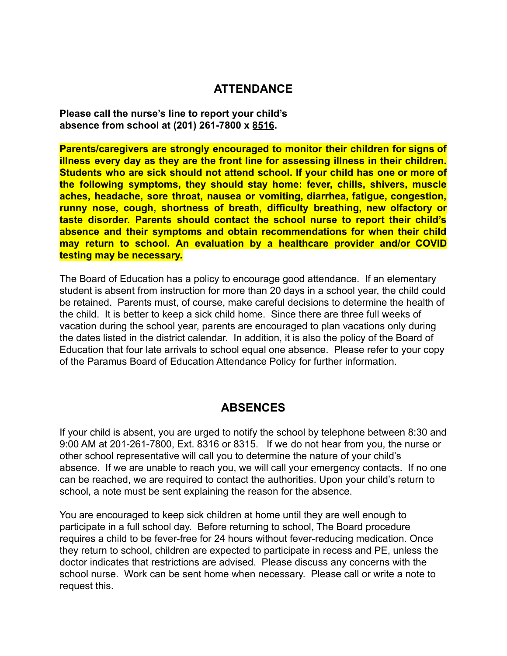### **ATTENDANCE**

**Please call the nurse's line to report your child's absence from school at (201) 261-7800 x 8516.**

**Parents/caregivers are strongly encouraged to monitor their children for signs of illness every day as they are the front line for assessing illness in their children. Students who are sick should not attend school. If your child has one or more of the following symptoms, they should stay home: fever, chills, shivers, muscle aches, headache, sore throat, nausea or vomiting, diarrhea, fatigue, congestion, runny nose, cough, shortness of breath, difficulty breathing, new olfactory or taste disorder. Parents should contact the school nurse to report their child's absence and their symptoms and obtain recommendations for when their child may return to school. An evaluation by a healthcare provider and/or COVID testing may be necessary.**

The Board of Education has a policy to encourage good attendance. If an elementary student is absent from instruction for more than 20 days in a school year, the child could be retained. Parents must, of course, make careful decisions to determine the health of the child. It is better to keep a sick child home. Since there are three full weeks of vacation during the school year, parents are encouraged to plan vacations only during the dates listed in the district calendar. In addition, it is also the policy of the Board of Education that four late arrivals to school equal one absence. Please refer to your copy of the Paramus Board of Education Attendance Policy for further information.

### **ABSENCES**

If your child is absent, you are urged to notify the school by telephone between 8:30 and 9:00 AM at 201-261-7800, Ext. 8316 or 8315. If we do not hear from you, the nurse or other school representative will call you to determine the nature of your child's absence. If we are unable to reach you, we will call your emergency contacts. If no one can be reached, we are required to contact the authorities. Upon your child's return to school, a note must be sent explaining the reason for the absence.

You are encouraged to keep sick children at home until they are well enough to participate in a full school day. Before returning to school, The Board procedure requires a child to be fever-free for 24 hours without fever-reducing medication. Once they return to school, children are expected to participate in recess and PE, unless the doctor indicates that restrictions are advised. Please discuss any concerns with the school nurse. Work can be sent home when necessary. Please call or write a note to request this.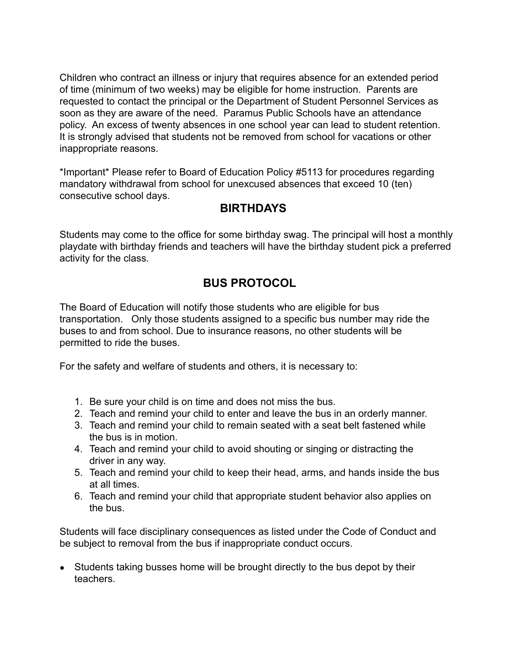Children who contract an illness or injury that requires absence for an extended period of time (minimum of two weeks) may be eligible for home instruction. Parents are requested to contact the principal or the Department of Student Personnel Services as soon as they are aware of the need. Paramus Public Schools have an attendance policy. An excess of twenty absences in one school year can lead to student retention. It is strongly advised that students not be removed from school for vacations or other inappropriate reasons.

\*Important\* Please refer to Board of Education Policy #5113 for procedures regarding mandatory withdrawal from school for unexcused absences that exceed 10 (ten) consecutive school days.

## **BIRTHDAYS**

Students may come to the office for some birthday swag. The principal will host a monthly playdate with birthday friends and teachers will have the birthday student pick a preferred activity for the class.

# **BUS PROTOCOL**

The Board of Education will notify those students who are eligible for bus transportation. Only those students assigned to a specific bus number may ride the buses to and from school. Due to insurance reasons, no other students will be permitted to ride the buses.

For the safety and welfare of students and others, it is necessary to:

- 1. Be sure your child is on time and does not miss the bus.
- 2. Teach and remind your child to enter and leave the bus in an orderly manner.
- 3. Teach and remind your child to remain seated with a seat belt fastened while the bus is in motion.
- 4. Teach and remind your child to avoid shouting or singing or distracting the driver in any way.
- 5. Teach and remind your child to keep their head, arms, and hands inside the bus at all times.
- 6. Teach and remind your child that appropriate student behavior also applies on the bus.

Students will face disciplinary consequences as listed under the Code of Conduct and be subject to removal from the bus if inappropriate conduct occurs.

• Students taking busses home will be brought directly to the bus depot by their teachers.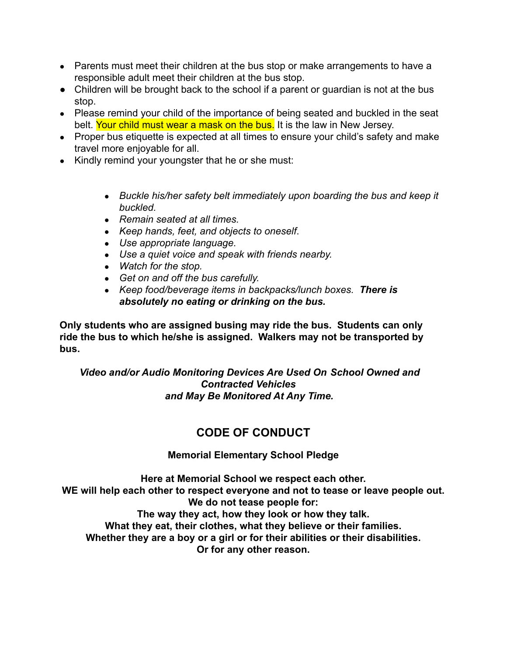- Parents must meet their children at the bus stop or make arrangements to have a responsible adult meet their children at the bus stop.
- Children will be brought back to the school if a parent or quardian is not at the bus stop.
- Please remind your child of the importance of being seated and buckled in the seat belt. Your child must wear a mask on the bus. It is the law in New Jersey.
- Proper bus etiquette is expected at all times to ensure your child's safety and make travel more enjoyable for all.
- Kindly remind your youngster that he or she must:
	- *● Buckle his/her safety belt immediately upon boarding the bus and keep it buckled.*
	- *● Remain seated at all times.*
	- *● Keep hands, feet, and objects to oneself*.
	- *● Use appropriate language.*
	- *● Use a quiet voice and speak with friends nearby.*
	- *● Watch for the stop.*
	- *● Get on and off the bus carefully.*
	- *● Keep food/beverage items in backpacks/lunch boxes. There is absolutely no eating or drinking on the bus.*

**Only students who are assigned busing may ride the bus. Students can only ride the bus to which he/she is assigned. Walkers may not be transported by bus.**

*Video and/or Audio Monitoring Devices Are Used On School Owned and Contracted Vehicles and May Be Monitored At Any Time.*

## **CODE OF CONDUCT**

#### **Memorial Elementary School Pledge**

**Here at Memorial School we respect each other. WE will help each other to respect everyone and not to tease or leave people out. We do not tease people for: The way they act, how they look or how they talk. What they eat, their clothes, what they believe or their families. Whether they are a boy or a girl or for their abilities or their disabilities. Or for any other reason.**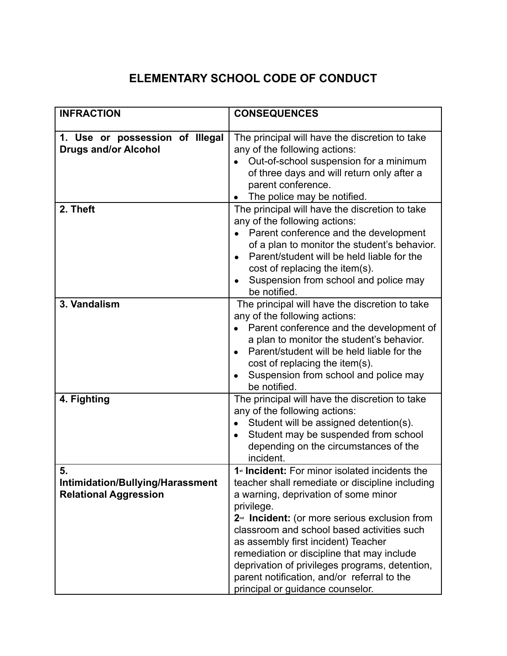# **ELEMENTARY SCHOOL CODE OF CONDUCT**

| <b>INFRACTION</b>                                                      | <b>CONSEQUENCES</b>                                                                                                                                                                                                                                                                                                                                                                                                                                                                                      |
|------------------------------------------------------------------------|----------------------------------------------------------------------------------------------------------------------------------------------------------------------------------------------------------------------------------------------------------------------------------------------------------------------------------------------------------------------------------------------------------------------------------------------------------------------------------------------------------|
| 1. Use or possession of Illegal<br><b>Drugs and/or Alcohol</b>         | The principal will have the discretion to take<br>any of the following actions:<br>Out-of-school suspension for a minimum<br>of three days and will return only after a<br>parent conference.<br>The police may be notified.                                                                                                                                                                                                                                                                             |
| 2. Theft                                                               | The principal will have the discretion to take<br>any of the following actions:<br>Parent conference and the development<br>of a plan to monitor the student's behavior.<br>Parent/student will be held liable for the<br>cost of replacing the item(s).<br>Suspension from school and police may<br>be notified.                                                                                                                                                                                        |
| 3. Vandalism                                                           | The principal will have the discretion to take<br>any of the following actions:<br>Parent conference and the development of<br>a plan to monitor the student's behavior.<br>Parent/student will be held liable for the<br>cost of replacing the item(s).<br>Suspension from school and police may<br>be notified.                                                                                                                                                                                        |
| 4. Fighting                                                            | The principal will have the discretion to take<br>any of the following actions:<br>Student will be assigned detention(s).<br>Student may be suspended from school<br>depending on the circumstances of the<br>incident.                                                                                                                                                                                                                                                                                  |
| 5.<br>Intimidation/Bullying/Harassment<br><b>Relational Aggression</b> | 1 <sup>st</sup> Incident: For minor isolated incidents the<br>teacher shall remediate or discipline including<br>a warning, deprivation of some minor<br>privilege.<br>2 <sup>nd</sup> Incident: (or more serious exclusion from<br>classroom and school based activities such<br>as assembly first incident) Teacher<br>remediation or discipline that may include<br>deprivation of privileges programs, detention,<br>parent notification, and/or referral to the<br>principal or guidance counselor. |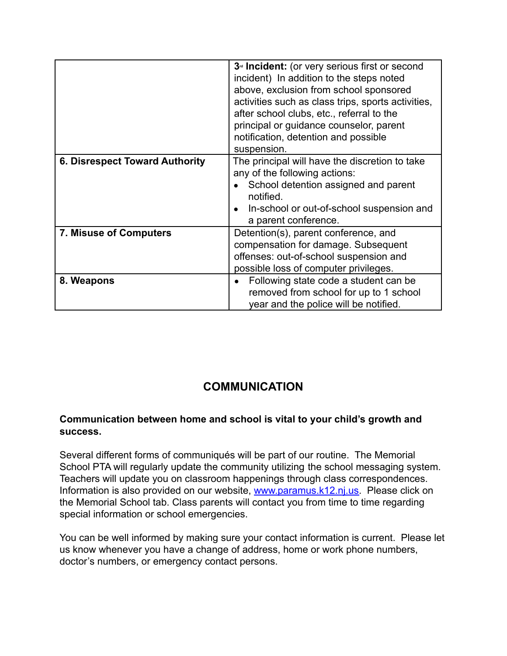|                                       | 3 <sup>rd</sup> Incident: (or very serious first or second<br>incident) In addition to the steps noted<br>above, exclusion from school sponsored<br>activities such as class trips, sports activities,<br>after school clubs, etc., referral to the<br>principal or guidance counselor, parent<br>notification, detention and possible<br>suspension. |
|---------------------------------------|-------------------------------------------------------------------------------------------------------------------------------------------------------------------------------------------------------------------------------------------------------------------------------------------------------------------------------------------------------|
| <b>6. Disrespect Toward Authority</b> | The principal will have the discretion to take<br>any of the following actions:<br>School detention assigned and parent<br>notified.<br>In-school or out-of-school suspension and<br>a parent conference.                                                                                                                                             |
| <b>7. Misuse of Computers</b>         | Detention(s), parent conference, and<br>compensation for damage. Subsequent<br>offenses: out-of-school suspension and<br>possible loss of computer privileges.                                                                                                                                                                                        |
| 8. Weapons                            | Following state code a student can be<br>removed from school for up to 1 school<br>year and the police will be notified.                                                                                                                                                                                                                              |

# **COMMUNICATION**

#### **Communication between home and school is vital to your child's growth and success.**

Several different forms of communiqués will be part of our routine. The Memorial School PTA will regularly update the community utilizing the school messaging system. Teachers will update you on classroom happenings through class correspondences. Information is also provided on our website, [www.paramus.k12.nj.us.](http://www.paramus.k12.nj.us/) Please click on the Memorial School tab. Class parents will contact you from time to time regarding special information or school emergencies.

You can be well informed by making sure your contact information is current. Please let us know whenever you have a change of address, home or work phone numbers, doctor's numbers, or emergency contact persons.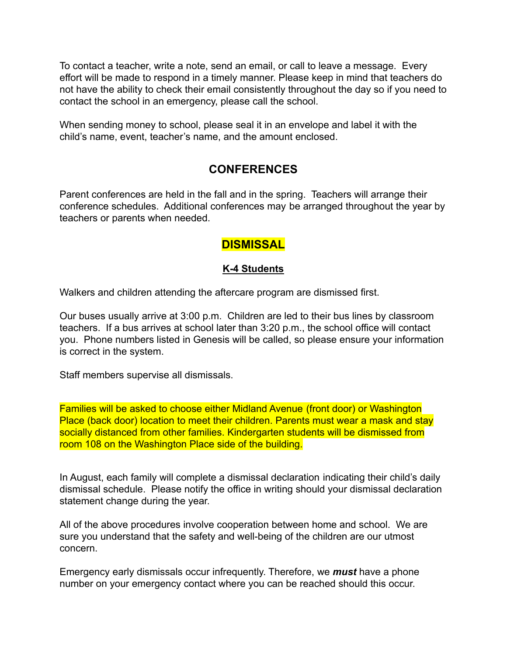To contact a teacher, write a note, send an email, or call to leave a message. Every effort will be made to respond in a timely manner. Please keep in mind that teachers do not have the ability to check their email consistently throughout the day so if you need to contact the school in an emergency, please call the school.

When sending money to school, please seal it in an envelope and label it with the child's name, event, teacher's name, and the amount enclosed.

### **CONFERENCES**

Parent conferences are held in the fall and in the spring. Teachers will arrange their conference schedules. Additional conferences may be arranged throughout the year by teachers or parents when needed.

### **DISMISSAL**

#### **K-4 Students**

Walkers and children attending the aftercare program are dismissed first.

Our buses usually arrive at 3:00 p.m. Children are led to their bus lines by classroom teachers. If a bus arrives at school later than 3:20 p.m., the school office will contact you. Phone numbers listed in Genesis will be called, so please ensure your information is correct in the system.

Staff members supervise all dismissals.

Families will be asked to choose either Midland Avenue (front door) or Washington Place (back door) location to meet their children. Parents must wear a mask and stay socially distanced from other families. Kindergarten students will be dismissed from room 108 on the Washington Place side of the building.

In August, each family will complete a dismissal declaration indicating their child's daily dismissal schedule. Please notify the office in writing should your dismissal declaration statement change during the year.

All of the above procedures involve cooperation between home and school. We are sure you understand that the safety and well-being of the children are our utmost concern.

Emergency early dismissals occur infrequently. Therefore, we *must* have a phone number on your emergency contact where you can be reached should this occur.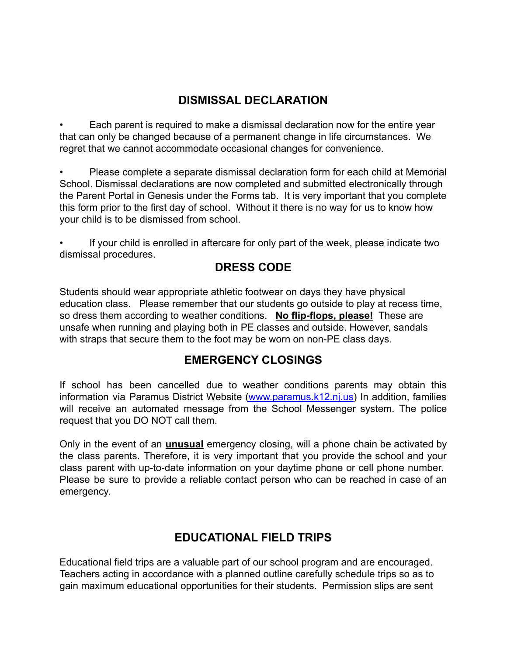## **DISMISSAL DECLARATION**

• Each parent is required to make a dismissal declaration now for the entire year that can only be changed because of a permanent change in life circumstances. We regret that we cannot accommodate occasional changes for convenience.

• Please complete a separate dismissal declaration form for each child at Memorial School. Dismissal declarations are now completed and submitted electronically through the Parent Portal in Genesis under the Forms tab. It is very important that you complete this form prior to the first day of school. Without it there is no way for us to know how your child is to be dismissed from school.

If your child is enrolled in aftercare for only part of the week, please indicate two dismissal procedures.

## **DRESS CODE**

Students should wear appropriate athletic footwear on days they have physical education class. Please remember that our students go outside to play at recess time, so dress them according to weather conditions. **No flip-flops, please!** These are unsafe when running and playing both in PE classes and outside. However, sandals with straps that secure them to the foot may be worn on non-PE class days.

## **EMERGENCY CLOSINGS**

If school has been cancelled due to weather conditions parents may obtain this information via Paramus District Website [\(www.paramus.k12.nj.us](http://www.paramus.k12.nj.us)) In addition, families will receive an automated message from the School Messenger system. The police request that you DO NOT call them.

Only in the event of an **unusual** emergency closing, will a phone chain be activated by the class parents. Therefore, it is very important that you provide the school and your class parent with up-to-date information on your daytime phone or cell phone number. Please be sure to provide a reliable contact person who can be reached in case of an emergency.

# **EDUCATIONAL FIELD TRIPS**

Educational field trips are a valuable part of our school program and are encouraged. Teachers acting in accordance with a planned outline carefully schedule trips so as to gain maximum educational opportunities for their students. Permission slips are sent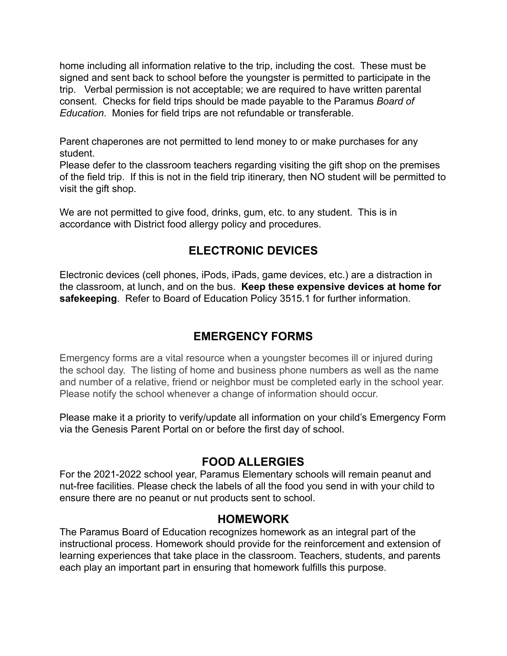home including all information relative to the trip, including the cost. These must be signed and sent back to school before the youngster is permitted to participate in the trip. Verbal permission is not acceptable; we are required to have written parental consent. Checks for field trips should be made payable to the Paramus *Board of Education*. Monies for field trips are not refundable or transferable.

Parent chaperones are not permitted to lend money to or make purchases for any student.

Please defer to the classroom teachers regarding visiting the gift shop on the premises of the field trip. If this is not in the field trip itinerary, then NO student will be permitted to visit the gift shop.

We are not permitted to give food, drinks, gum, etc. to any student. This is in accordance with District food allergy policy and procedures.

## **ELECTRONIC DEVICES**

Electronic devices (cell phones, iPods, iPads, game devices, etc.) are a distraction in the classroom, at lunch, and on the bus. **Keep these expensive devices at home for safekeeping**. Refer to Board of Education Policy 3515.1 for further information.

## **EMERGENCY FORMS**

Emergency forms are a vital resource when a youngster becomes ill or injured during the school day. The listing of home and business phone numbers as well as the name and number of a relative, friend or neighbor must be completed early in the school year. Please notify the school whenever a change of information should occur.

Please make it a priority to verify/update all information on your child's Emergency Form via the Genesis Parent Portal on or before the first day of school.

### **FOOD ALLERGIES**

For the 2021-2022 school year, Paramus Elementary schools will remain peanut and nut-free facilities. Please check the labels of all the food you send in with your child to ensure there are no peanut or nut products sent to school.

### **HOMEWORK**

The Paramus Board of Education recognizes homework as an integral part of the instructional process. Homework should provide for the reinforcement and extension of learning experiences that take place in the classroom. Teachers, students, and parents each play an important part in ensuring that homework fulfills this purpose.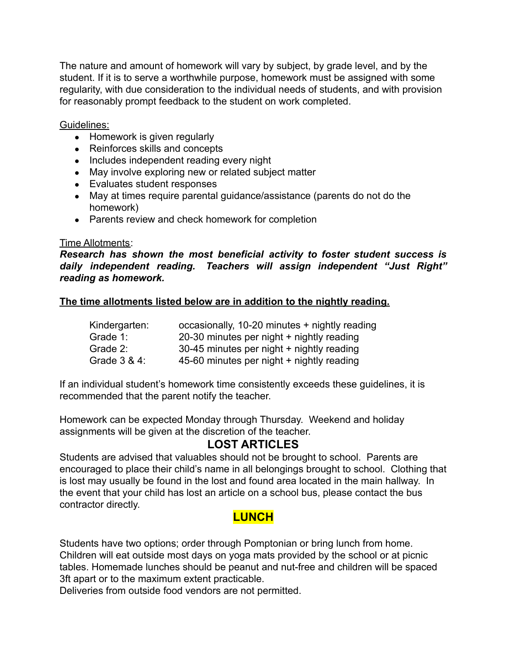The nature and amount of homework will vary by subject, by grade level, and by the student. If it is to serve a worthwhile purpose, homework must be assigned with some regularity, with due consideration to the individual needs of students, and with provision for reasonably prompt feedback to the student on work completed.

Guidelines:

- Homework is given regularly
- Reinforces skills and concepts
- Includes independent reading every night
- May involve exploring new or related subject matter
- Evaluates student responses
- May at times require parental guidance/assistance (parents do not do the homework)
- Parents review and check homework for completion

#### Time Allotments:

*Research has shown the most beneficial activity to foster student success is daily independent reading. Teachers will assign independent "Just Right" reading as homework.*

#### **The time allotments listed below are in addition to the nightly reading.**

| Kindergarten:   | occasionally, 10-20 minutes + nightly reading |
|-----------------|-----------------------------------------------|
| Grade 1:        | 20-30 minutes per night + nightly reading     |
| Grade 2:        | 30-45 minutes per night + nightly reading     |
| Grade $3 & 4$ : | 45-60 minutes per night + nightly reading     |

If an individual student's homework time consistently exceeds these guidelines, it is recommended that the parent notify the teacher.

Homework can be expected Monday through Thursday. Weekend and holiday assignments will be given at the discretion of the teacher.

### **LOST ARTICLES**

Students are advised that valuables should not be brought to school. Parents are encouraged to place their child's name in all belongings brought to school. Clothing that is lost may usually be found in the lost and found area located in the main hallway. In the event that your child has lost an article on a school bus, please contact the bus contractor directly.

### **LUNCH**

Students have two options; order through Pomptonian or bring lunch from home. Children will eat outside most days on yoga mats provided by the school or at picnic tables. Homemade lunches should be peanut and nut-free and children will be spaced 3ft apart or to the maximum extent practicable.

Deliveries from outside food vendors are not permitted.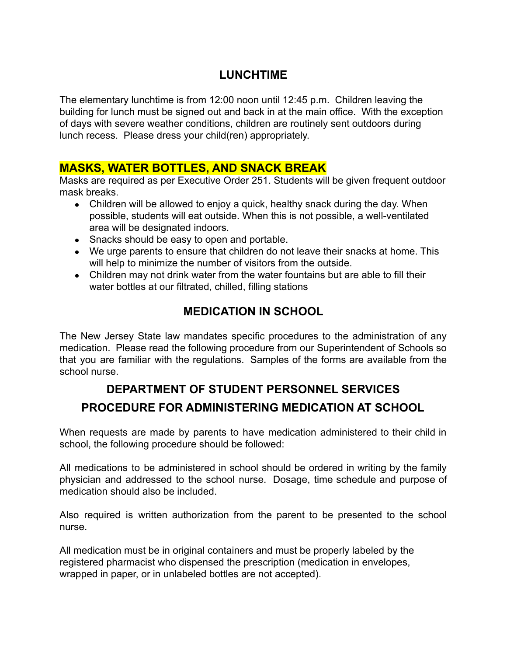## **LUNCHTIME**

The elementary lunchtime is from 12:00 noon until 12:45 p.m. Children leaving the building for lunch must be signed out and back in at the main office. With the exception of days with severe weather conditions, children are routinely sent outdoors during lunch recess. Please dress your child(ren) appropriately.

### **MASKS, WATER BOTTLES, AND SNACK BREAK**

Masks are required as per Executive Order 251. Students will be given frequent outdoor mask breaks.

- Children will be allowed to enjoy a quick, healthy snack during the day. When possible, students will eat outside. When this is not possible, a well-ventilated area will be designated indoors.
- Snacks should be easy to open and portable.
- We urge parents to ensure that children do not leave their snacks at home. This will help to minimize the number of visitors from the outside.
- Children may not drink water from the water fountains but are able to fill their water bottles at our filtrated, chilled, filling stations

## **MEDICATION IN SCHOOL**

The New Jersey State law mandates specific procedures to the administration of any medication. Please read the following procedure from our Superintendent of Schools so that you are familiar with the regulations. Samples of the forms are available from the school nurse.

# **DEPARTMENT OF STUDENT PERSONNEL SERVICES PROCEDURE FOR ADMINISTERING MEDICATION AT SCHOOL**

When requests are made by parents to have medication administered to their child in school, the following procedure should be followed:

All medications to be administered in school should be ordered in writing by the family physician and addressed to the school nurse. Dosage, time schedule and purpose of medication should also be included.

Also required is written authorization from the parent to be presented to the school nurse.

All medication must be in original containers and must be properly labeled by the registered pharmacist who dispensed the prescription (medication in envelopes, wrapped in paper, or in unlabeled bottles are not accepted).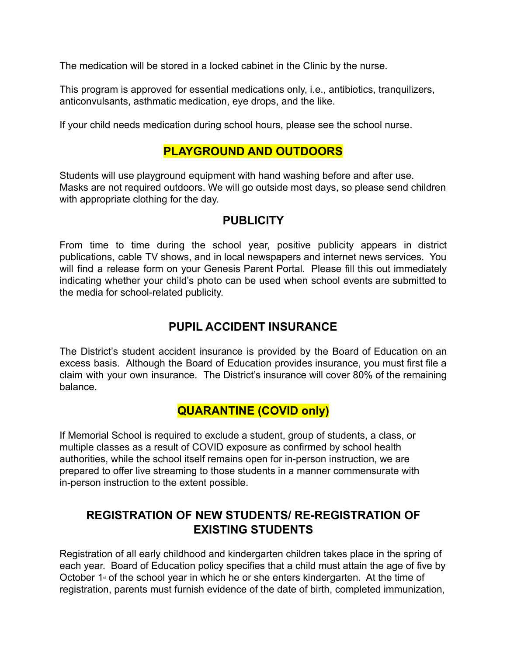The medication will be stored in a locked cabinet in the Clinic by the nurse.

This program is approved for essential medications only, i.e., antibiotics, tranquilizers, anticonvulsants, asthmatic medication, eye drops, and the like.

If your child needs medication during school hours, please see the school nurse.

### **PLAYGROUND AND OUTDOORS**

Students will use playground equipment with hand washing before and after use. Masks are not required outdoors. We will go outside most days, so please send children with appropriate clothing for the day.

### **PUBLICITY**

From time to time during the school year, positive publicity appears in district publications, cable TV shows, and in local newspapers and internet news services. You will find a release form on your Genesis Parent Portal. Please fill this out immediately indicating whether your child's photo can be used when school events are submitted to the media for school-related publicity.

## **PUPIL ACCIDENT INSURANCE**

The District's student accident insurance is provided by the Board of Education on an excess basis. Although the Board of Education provides insurance, you must first file a claim with your own insurance. The District's insurance will cover 80% of the remaining balance.

### **QUARANTINE (COVID only)**

If Memorial School is required to exclude a student, group of students, a class, or multiple classes as a result of COVID exposure as confirmed by school health authorities, while the school itself remains open for in-person instruction, we are prepared to offer live streaming to those students in a manner commensurate with in-person instruction to the extent possible.

## **REGISTRATION OF NEW STUDENTS/ RE-REGISTRATION OF EXISTING STUDENTS**

Registration of all early childhood and kindergarten children takes place in the spring of each year. Board of Education policy specifies that a child must attain the age of five by October  $1$ <sup> $*$ </sup> of the school year in which he or she enters kindergarten. At the time of registration, parents must furnish evidence of the date of birth, completed immunization,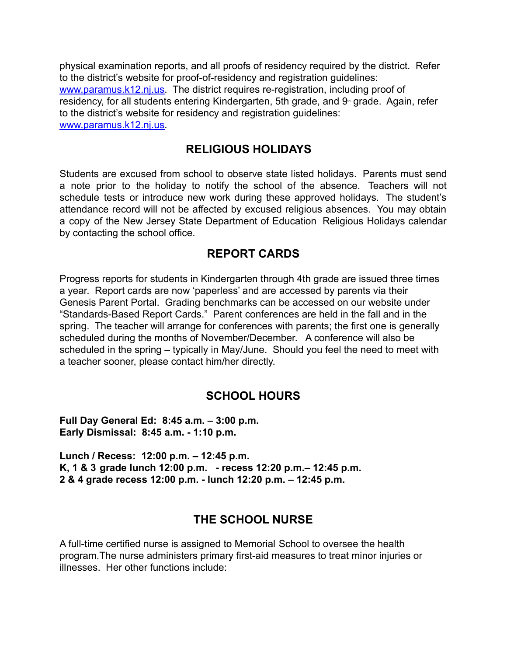physical examination reports, and all proofs of residency required by the district. Refer to the district's website for proof-of-residency and registration guidelines: [www.paramus.k12.nj.us.](http://www.paramus.k12.nj.us) The district requires re-registration, including proof of residency, for all students entering Kindergarten, 5th grade, and 9<sup>th</sup> grade. Again, refer to the district's website for residency and registration guidelines: [www.paramus.k12.nj.us.](http://www.paramus.k12.nj.us)

### **RELIGIOUS HOLIDAYS**

Students are excused from school to observe state listed holidays. Parents must send a note prior to the holiday to notify the school of the absence. Teachers will not schedule tests or introduce new work during these approved holidays. The student's attendance record will not be affected by excused religious absences. You may obtain a copy of the New Jersey State Department of Education Religious Holidays calendar by contacting the school office.

### **REPORT CARDS**

Progress reports for students in Kindergarten through 4th grade are issued three times a year. Report cards are now 'paperless' and are accessed by parents via their Genesis Parent Portal. Grading benchmarks can be accessed on our website under "Standards-Based Report Cards." Parent conferences are held in the fall and in the spring. The teacher will arrange for conferences with parents; the first one is generally scheduled during the months of November/December. A conference will also be scheduled in the spring – typically in May/June. Should you feel the need to meet with a teacher sooner, please contact him/her directly.

### **SCHOOL HOURS**

**Full Day General Ed: 8:45 a.m. – 3:00 p.m. Early Dismissal: 8:45 a.m. - 1:10 p.m.**

**Lunch / Recess: 12:00 p.m. – 12:45 p.m. K, 1 & 3 grade lunch 12:00 p.m. - recess 12:20 p.m.– 12:45 p.m. 2 & 4 grade recess 12:00 p.m. - lunch 12:20 p.m. – 12:45 p.m.**

### **THE SCHOOL NURSE**

A full-time certified nurse is assigned to Memorial School to oversee the health program.The nurse administers primary first-aid measures to treat minor injuries or illnesses. Her other functions include: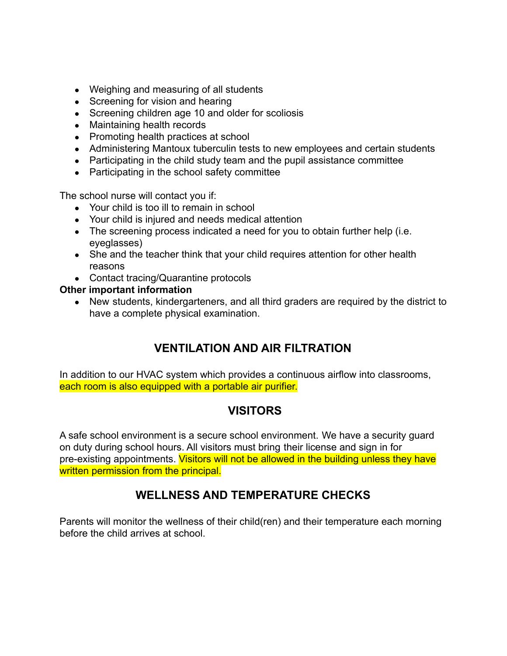- Weighing and measuring of all students
- Screening for vision and hearing
- Screening children age 10 and older for scoliosis
- Maintaining health records
- Promoting health practices at school
- Administering Mantoux tuberculin tests to new employees and certain students
- Participating in the child study team and the pupil assistance committee
- Participating in the school safety committee

The school nurse will contact you if:

- Your child is too ill to remain in school
- Your child is injured and needs medical attention
- The screening process indicated a need for you to obtain further help (i.e. eyeglasses)
- She and the teacher think that your child requires attention for other health reasons
- Contact tracing/Quarantine protocols

#### **Other important information**

• New students, kindergarteners, and all third graders are required by the district to have a complete physical examination.

# **VENTILATION AND AIR FILTRATION**

In addition to our HVAC system which provides a continuous airflow into classrooms, each room is also equipped with a portable air purifier.

### **VISITORS**

A safe school environment is a secure school environment. We have a security guard on duty during school hours. All visitors must bring their license and sign in for pre-existing appointments. Visitors will not be allowed in the building unless they have written permission from the principal.

## **WELLNESS AND TEMPERATURE CHECKS**

Parents will monitor the wellness of their child(ren) and their temperature each morning before the child arrives at school.